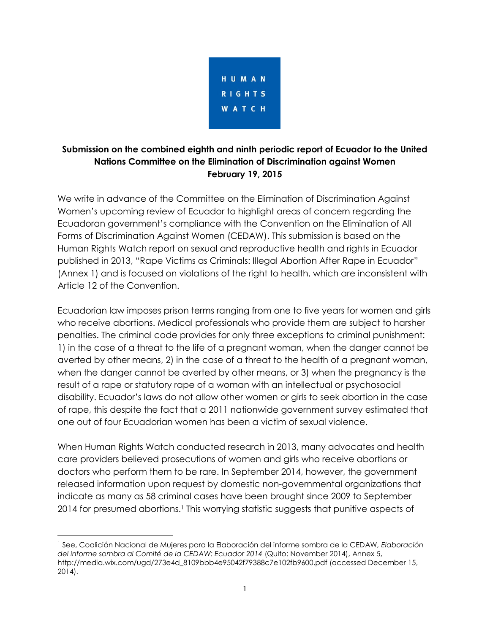

# **Submission on the combined eighth and ninth periodic report of Ecuador to the United Nations Committee on the Elimination of Discrimination against Women February 19, 2015**

We write in advance of the Committee on the Elimination of Discrimination Against Women's upcoming review of Ecuador to highlight areas of concern regarding the Ecuadoran government's compliance with the Convention on the Elimination of All Forms of Discrimination Against Women (CEDAW). This submission is based on the Human Rights Watch report on sexual and reproductive health and rights in Ecuador published in 2013, "Rape Victims as Criminals: Illegal Abortion After Rape in Ecuador" (Annex 1) and is focused on violations of the right to health, which are inconsistent with Article 12 of the Convention.

Ecuadorian law imposes prison terms ranging from one to five years for women and girls who receive abortions. Medical professionals who provide them are subject to harsher penalties. The criminal code provides for only three exceptions to criminal punishment: 1) in the case of a threat to the life of a pregnant woman, when the danger cannot be averted by other means, 2) in the case of a threat to the health of a pregnant woman, when the danger cannot be averted by other means, or 3) when the pregnancy is the result of a rape or statutory rape of a woman with an intellectual or psychosocial disability. Ecuador's laws do not allow other women or girls to seek abortion in the case of rape, this despite the fact that a 2011 nationwide government survey estimated that one out of four Ecuadorian women has been a victim of sexual violence.

When Human Rights Watch conducted research in 2013, many advocates and health care providers believed prosecutions of women and girls who receive abortions or doctors who perform them to be rare. In September 2014, however, the government released information upon request by domestic non-governmental organizations that indicate as many as 58 criminal cases have been brought since 2009 to September 2014 for presumed abortions.<sup>1</sup> This worrying statistic suggests that punitive aspects of

<sup>1</sup> See, Coalición Nacional de Mujeres para la Elaboración del informe sombra de la CEDAW, *Elaboración del informe sombra al Comité de la CEDAW: Ecuador 2014* (Quito: November 2014), Annex 5, http://media.wix.com/ugd/273e4d\_8109bbb4e95042f79388c7e102fb9600.pdf (accessed December 15, 2014).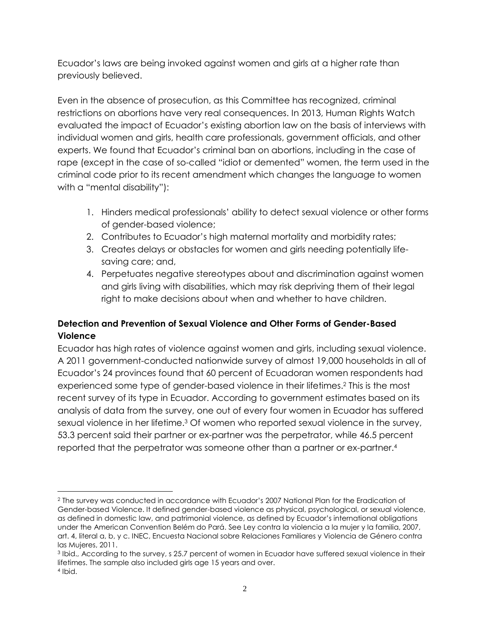Ecuador's laws are being invoked against women and girls at a higher rate than previously believed.

Even in the absence of prosecution, as this Committee has recognized, criminal restrictions on abortions have very real consequences. In 2013, Human Rights Watch evaluated the impact of Ecuador's existing abortion law on the basis of interviews with individual women and girls, health care professionals, government officials, and other experts. We found that Ecuador's criminal ban on abortions, including in the case of rape (except in the case of so-called "idiot or demented" women, the term used in the criminal code prior to its recent amendment which changes the language to women with a "mental disability"):

- 1. Hinders medical professionals' ability to detect sexual violence or other forms of gender-based violence;
- 2. Contributes to Ecuador's high maternal mortality and morbidity rates;
- 3. Creates delays or obstacles for women and girls needing potentially lifesaving care; and,
- 4. Perpetuates negative stereotypes about and discrimination against women and girls living with disabilities, which may risk depriving them of their legal right to make decisions about when and whether to have children.

# **Detection and Prevention of Sexual Violence and Other Forms of Gender-Based Violence**

Ecuador has high rates of violence against women and girls, including sexual violence. A 2011 government-conducted nationwide survey of almost 19,000 households in all of Ecuador's 24 provinces found that 60 percent of Ecuadoran women respondents had experienced some type of gender-based violence in their lifetimes.<sup>2</sup> This is the most recent survey of its type in Ecuador. According to government estimates based on its analysis of data from the survey, one out of every four women in Ecuador has suffered sexual violence in her lifetime.<sup>3</sup> Of women who reported sexual violence in the survey, 53.3 percent said their partner or ex-partner was the perpetrator, while 46.5 percent reported that the perpetrator was someone other than a partner or ex-partner.<sup>4</sup>

<sup>2</sup> The survey was conducted in accordance with Ecuador's 2007 National Plan for the Eradication of Gender-based Violence. It defined gender-based violence as physical, psychological, or sexual violence, as defined in domestic law, and patrimonial violence, as defined by Ecuador's international obligations under the American Convention Belém do Pará. See Ley contra la violencia a la mujer y la familia, 2007, art. 4, literal a, b, y c. INEC, Encuesta Nacional sobre Relaciones Familiares y Violencia de Género contra las Mujeres, 2011.

<sup>3</sup> Ibid., According to the survey, s 25.7 percent of women in Ecuador have suffered sexual violence in their lifetimes. The sample also included girls age 15 years and over. 4 Ibid.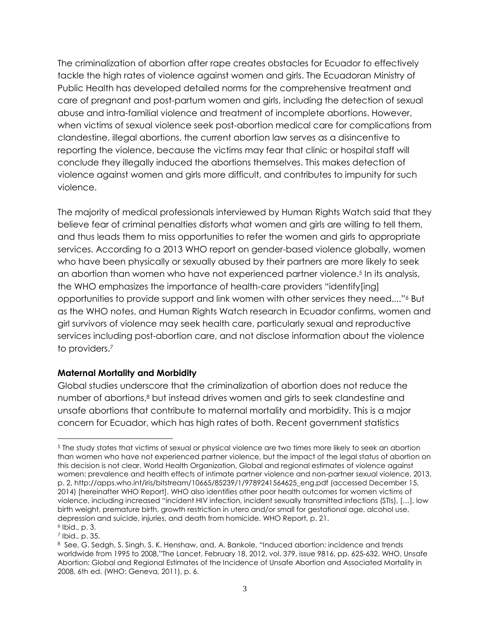The criminalization of abortion after rape creates obstacles for Ecuador to effectively tackle the high rates of violence against women and girls. The Ecuadoran Ministry of Public Health has developed detailed norms for the comprehensive treatment and care of pregnant and post-partum women and girls, including the detection of sexual abuse and intra-familial violence and treatment of incomplete abortions. However, when victims of sexual violence seek post-abortion medical care for complications from clandestine, illegal abortions, the current abortion law serves as a disincentive to reporting the violence, because the victims may fear that clinic or hospital staff will conclude they illegally induced the abortions themselves. This makes detection of violence against women and girls more difficult, and contributes to impunity for such violence.

The majority of medical professionals interviewed by Human Rights Watch said that they believe fear of criminal penalties distorts what women and girls are willing to tell them, and thus leads them to miss opportunities to refer the women and girls to appropriate services. According to a 2013 WHO report on gender-based violence globally, women who have been physically or sexually abused by their partners are more likely to seek an abortion than women who have not experienced partner violence.<sup>5</sup> In its analysis, the WHO emphasizes the importance of health-care providers "identify[ing] opportunities to provide support and link women with other services they need...."<sup>6</sup> But as the WHO notes, and Human Rights Watch research in Ecuador confirms, women and girl survivors of violence may seek health care, particularly sexual and reproductive services including post-abortion care, and not disclose information about the violence to providers.<sup>7</sup>

#### **Maternal Mortality and Morbidity**

Global studies underscore that the criminalization of abortion does not reduce the number of abortions,<sup>8</sup> but instead drives women and girls to seek clandestine and unsafe abortions that contribute to maternal mortality and morbidity. This is a major concern for Ecuador, which has high rates of both. Recent government statistics

<sup>5</sup> The study states that victims of sexual or physical violence are two times more likely to seek an abortion than women who have not experienced partner violence, but the impact of the legal status of abortion on this decision is not clear. World Health Organization, Global and regional estimates of violence against women: prevalence and health effects of intimate partner violence and non-partner sexual violence, 2013, p. 2, http://apps.who.int/iris/bitstream/10665/85239/1/9789241564625\_eng.pdf (accessed December 15, 2014) [hereinafter WHO Report]. WHO also identifies other poor health outcomes for women victims of violence, including increased "incident HIV infection, incident sexually transmitted infections (STIs), […], low birth weight, premature birth, growth restriction in utero and/or small for gestational age, alcohol use, depression and suicide, injuries, and death from homicide. WHO Report, p. 21. 6 Ibid., p. 3.

<sup>7</sup> Ibid., p. 35.

<sup>8</sup> See, G. Sedgh, S. Singh, S. K. Henshaw, and, A. Bankole, "Induced abortion: incidence and trends worldwide from 1995 to 2008,"The Lancet, February 18, 2012, vol. 379, issue 9816, pp. 625‐632. WHO, Unsafe Abortion: Global and Regional Estimates of the Incidence of Unsafe Abortion and Associated Mortality in 2008, 6th ed. (WHO: Geneva, 2011), p. 6.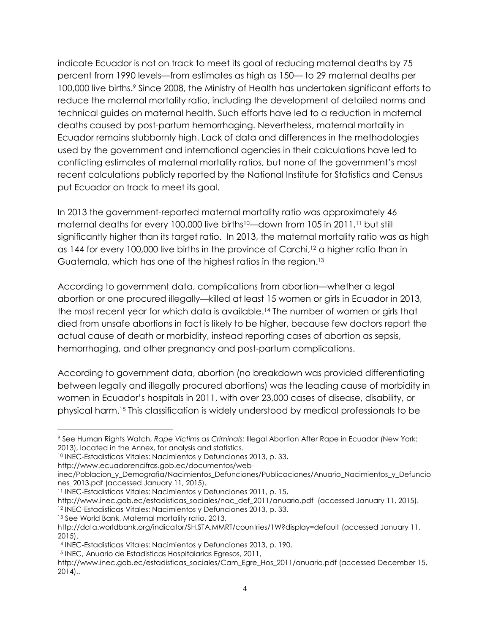indicate Ecuador is not on track to meet its goal of reducing maternal deaths by 75 percent from 1990 levels—from estimates as high as 150— to 29 maternal deaths per 100,000 live births.<sup>9</sup> Since 2008, the Ministry of Health has undertaken significant efforts to reduce the maternal mortality ratio, including the development of detailed norms and technical guides on maternal health. Such efforts have led to a reduction in maternal deaths caused by post-partum hemorrhaging. Nevertheless, maternal mortality in Ecuador remains stubbornly high. Lack of data and differences in the methodologies used by the government and international agencies in their calculations have led to conflicting estimates of maternal mortality ratios, but none of the government's most recent calculations publicly reported by the National Institute for Statistics and Census put Ecuador on track to meet its goal.

In 2013 the government-reported maternal mortality ratio was approximately 46 maternal deaths for every 100,000 live births<sup>10</sup>—down from 105 in 2011,<sup>11</sup> but still significantly higher than its target ratio. In 2013, the maternal mortality ratio was as high as 144 for every 100,000 live births in the province of Carchi, <sup>12</sup> a higher ratio than in Guatemala, which has one of the highest ratios in the region. 13

According to government data, complications from abortion—whether a legal abortion or one procured illegally—killed at least 15 women or girls in Ecuador in 2013, the most recent year for which data is available. <sup>14</sup> The number of women or girls that died from unsafe abortions in fact is likely to be higher, because few doctors report the actual cause of death or morbidity, instead reporting cases of abortion as sepsis, hemorrhaging, and other pregnancy and post-partum complications.

According to government data, abortion (no breakdown was provided differentiating between legally and illegally procured abortions) was the leading cause of morbidity in women in Ecuador's hospitals in 2011, with over 23,000 cases of disease, disability, or physical harm.<sup>15</sup> This classification is widely understood by medical professionals to be

<sup>13</sup> See World Bank, Maternal mortality ratio, 2013,

<sup>9</sup> See Human Rights Watch, *Rape Victims as Criminals:* Illegal Abortion After Rape in Ecuador (New York: 2013), located in the Annex, for analysis and statistics.

<sup>10</sup> INEC-Estadistícas Vitales: Nacimientos y Defunciones 2013, p. 33,

http://www.ecuadorencifras.gob.ec/documentos/web-

inec/Poblacion\_y\_Demografia/Nacimientos\_Defunciones/Publicaciones/Anuario\_Nacimientos\_y\_Defuncio nes\_2013.pdf (accessed January 11, 2015).

<sup>11</sup> INEC-Estadistícas Vitales: Nacimientos y Defunciones 2011, p. 15,

http://www.inec.gob.ec/estadisticas\_sociales/nac\_def\_2011/anuario.pdf (accessed January 11, 2015). <sup>12</sup> INEC-Estadistícas Vitales: Nacimientos y Defunciones 2013, p. 33.

http://data.worldbank.org/indicator/SH.STA.MMRT/countries/1W?display=default (accessed January 11, 2015).

<sup>14</sup> INEC-Estadistícas Vitales: Nacimientos y Defunciones 2013, p. 190.

<sup>15</sup> INEC, Anuario de Estadisticas Hospitalarias Egresos, 2011,

http://www.inec.gob.ec/estadisticas\_sociales/Cam\_Egre\_Hos\_2011/anuario.pdf (accessed December 15, 2014)..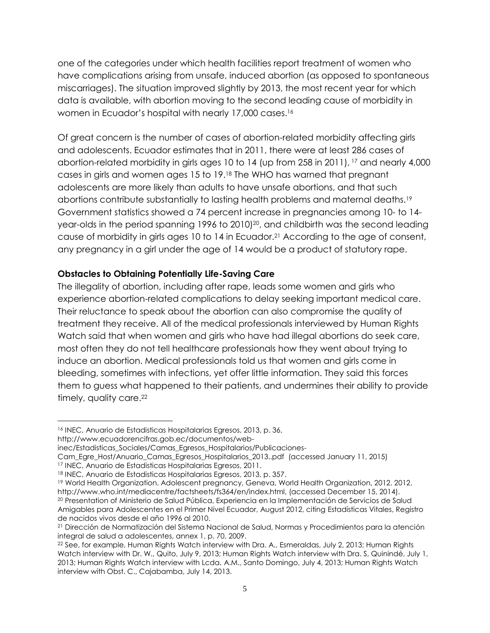one of the categories under which health facilities report treatment of women who have complications arising from unsafe, induced abortion (as opposed to spontaneous miscarriages). The situation improved slightly by 2013, the most recent year for which data is available, with abortion moving to the second leading cause of morbidity in women in Ecuador's hospital with nearly 17,000 cases.<sup>16</sup>

Of great concern is the number of cases of abortion-related morbidity affecting girls and adolescents. Ecuador estimates that in 2011, there were at least 286 cases of abortion-related morbidity in girls ages 10 to 14 (up from 258 in 2011), <sup>17</sup> and nearly 4,000 cases in girls and women ages 15 to 19.<sup>18</sup> The WHO has warned that pregnant adolescents are more likely than adults to have unsafe abortions, and that such abortions contribute substantially to lasting health problems and maternal deaths.<sup>19</sup> Government statistics showed a 74 percent increase in pregnancies among 10- to 14 year-olds in the period spanning 1996 to 2010) <sup>20</sup>, and childbirth was the second leading cause of morbidity in girls ages 10 to 14 in Ecuador.<sup>21</sup> According to the age of consent, any pregnancy in a girl under the age of 14 would be a product of statutory rape.

#### **Obstacles to Obtaining Potentially Life-Saving Care**

The illegality of abortion, including after rape, leads some women and girls who experience abortion-related complications to delay seeking important medical care. Their reluctance to speak about the abortion can also compromise the quality of treatment they receive. All of the medical professionals interviewed by Human Rights Watch said that when women and girls who have had illegal abortions do seek care, most often they do not tell healthcare professionals how they went about trying to induce an abortion. Medical professionals told us that women and girls come in bleeding, sometimes with infections, yet offer little information. They said this forces them to guess what happened to their patients, and undermines their ability to provide timely, quality care.<sup>22</sup>

<sup>16</sup> INEC, Anuario de Estadisticas Hospitalarias Egresos, 2013, p. 36,

http://www.ecuadorencifras.gob.ec/documentos/web-

inec/Estadisticas\_Sociales/Camas\_Egresos\_Hospitalarios/Publicaciones-

Cam\_Egre\_Host/Anuario\_Camas\_Egresos\_Hospitalarios\_2013..pdf (accessed January 11, 2015)

<sup>17</sup> INEC, Anuario de Estadisticas Hospitalarias Egresos, 2011.

<sup>18</sup> INEC, Anuario de Estadisticas Hospitalarias Egresos, 2013, p. 357.

<sup>19</sup> World Health Organization. Adolescent pregnancy, Geneva, World Health Organization, 2012. 2012. http://www.who.int/mediacentre/factsheets/fs364/en/index.html, (accessed December 15, 2014).

<sup>20</sup> Presentation of Ministerio de Salud Pública, Experiencia en la Implementación de Servicios de Salud Amigables para Adolescentes en el Primer Nivel Ecuador, August 2012, citing Estadísticas Vitales, Registro de nacidos vivos desde el año 1996 al 2010.

<sup>21</sup> Dirección de Normatización del Sistema Nacional de Salud, Normas y Procedimientos para la atención integral de salud a adolescentes, annex 1, p. 70, 2009.

<sup>&</sup>lt;sup>22</sup> See, for example, Human Rights Watch interview with Dra. A., Esmeraldas, July 2, 2013; Human Rights Watch interview with Dr. W., Quito, July 9, 2013; Human Rights Watch interview with Dra. S, Quinindé, July 1, 2013; Human Rights Watch interview with Lcda. A.M., Santo Domingo, July 4, 2013; Human Rights Watch interview with Obst. C., Cajabamba, July 14, 2013.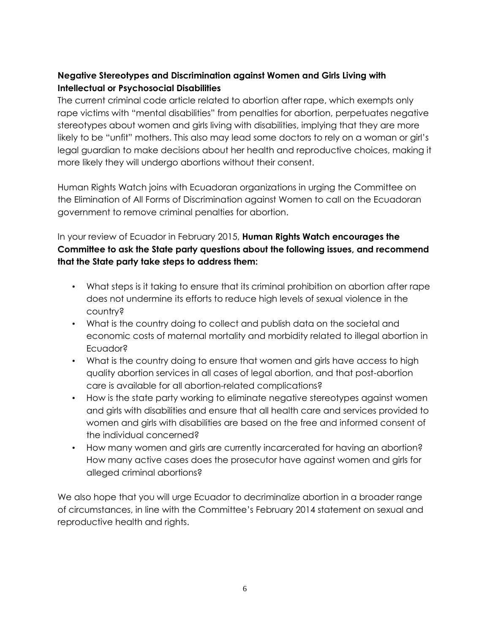# **Negative Stereotypes and Discrimination against Women and Girls Living with Intellectual or Psychosocial Disabilities**

The current criminal code article related to abortion after rape, which exempts only rape victims with "mental disabilities" from penalties for abortion, perpetuates negative stereotypes about women and girls living with disabilities, implying that they are more likely to be "unfit" mothers. This also may lead some doctors to rely on a woman or girl's legal guardian to make decisions about her health and reproductive choices, making it more likely they will undergo abortions without their consent.

Human Rights Watch joins with Ecuadoran organizations in urging the Committee on the Elimination of All Forms of Discrimination against Women to call on the Ecuadoran government to remove criminal penalties for abortion.

# In your review of Ecuador in February 2015, **Human Rights Watch encourages the Committee to ask the State party questions about the following issues, and recommend that the State party take steps to address them:**

- What steps is it taking to ensure that its criminal prohibition on abortion after rape does not undermine its efforts to reduce high levels of sexual violence in the country?
- What is the country doing to collect and publish data on the societal and economic costs of maternal mortality and morbidity related to illegal abortion in Ecuador?
- What is the country doing to ensure that women and girls have access to high quality abortion services in all cases of legal abortion, and that post-abortion care is available for all abortion-related complications?
- How is the state party working to eliminate negative stereotypes against women and girls with disabilities and ensure that all health care and services provided to women and girls with disabilities are based on the free and informed consent of the individual concerned?
- How many women and girls are currently incarcerated for having an abortion? How many active cases does the prosecutor have against women and girls for alleged criminal abortions?

We also hope that you will urge Ecuador to decriminalize abortion in a broader range of circumstances, in line with the Committee's February 2014 statement on sexual and reproductive health and rights.